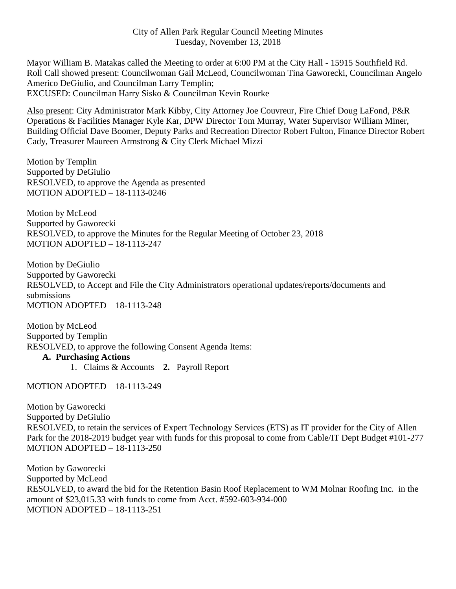## City of Allen Park Regular Council Meeting Minutes Tuesday, November 13, 2018

Mayor William B. Matakas called the Meeting to order at 6:00 PM at the City Hall - 15915 Southfield Rd. Roll Call showed present: Councilwoman Gail McLeod, Councilwoman Tina Gaworecki, Councilman Angelo Americo DeGiulio, and Councilman Larry Templin; EXCUSED: Councilman Harry Sisko & Councilman Kevin Rourke

Also present: City Administrator Mark Kibby, City Attorney Joe Couvreur, Fire Chief Doug LaFond, P&R Operations & Facilities Manager Kyle Kar, DPW Director Tom Murray, Water Supervisor William Miner, Building Official Dave Boomer, Deputy Parks and Recreation Director Robert Fulton, Finance Director Robert Cady, Treasurer Maureen Armstrong & City Clerk Michael Mizzi

Motion by Templin Supported by DeGiulio RESOLVED, to approve the Agenda as presented MOTION ADOPTED – 18-1113-0246

Motion by McLeod Supported by Gaworecki RESOLVED, to approve the Minutes for the Regular Meeting of October 23, 2018 MOTION ADOPTED – 18-1113-247

Motion by DeGiulio Supported by Gaworecki RESOLVED, to Accept and File the City Administrators operational updates/reports/documents and submissions MOTION ADOPTED – 18-1113-248

Motion by McLeod Supported by Templin RESOLVED, to approve the following Consent Agenda Items:

## **A. Purchasing Actions**

1. Claims & Accounts **2.** Payroll Report

MOTION ADOPTED – 18-1113-249

Motion by Gaworecki Supported by DeGiulio RESOLVED, to retain the services of Expert Technology Services (ETS) as IT provider for the City of Allen Park for the 2018-2019 budget year with funds for this proposal to come from Cable/IT Dept Budget #101-277 MOTION ADOPTED – 18-1113-250

Motion by Gaworecki Supported by McLeod RESOLVED, to award the bid for the Retention Basin Roof Replacement to WM Molnar Roofing Inc. in the amount of \$23,015.33 with funds to come from Acct. #592-603-934-000 MOTION ADOPTED – 18-1113-251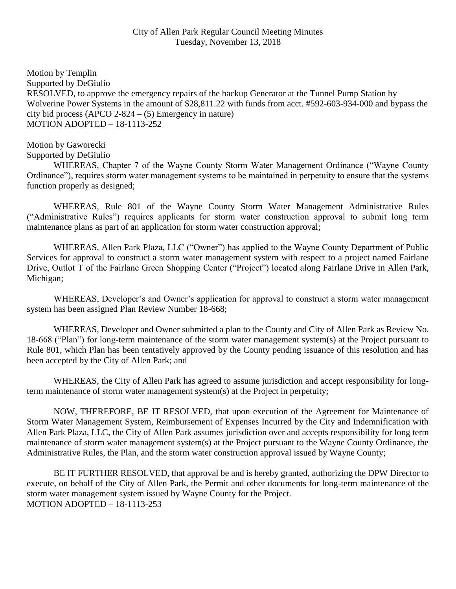Motion by Templin Supported by DeGiulio RESOLVED, to approve the emergency repairs of the backup Generator at the Tunnel Pump Station by Wolverine Power Systems in the amount of \$28,811.22 with funds from acct. #592-603-934-000 and bypass the city bid process (APCO 2-824  $-$  (5) Emergency in nature) MOTION ADOPTED – 18-1113-252

Motion by Gaworecki Supported by DeGiulio

WHEREAS, Chapter 7 of the Wayne County Storm Water Management Ordinance ("Wayne County Ordinance"), requires storm water management systems to be maintained in perpetuity to ensure that the systems function properly as designed;

WHEREAS, Rule 801 of the Wayne County Storm Water Management Administrative Rules ("Administrative Rules") requires applicants for storm water construction approval to submit long term maintenance plans as part of an application for storm water construction approval;

WHEREAS, Allen Park Plaza, LLC ("Owner") has applied to the Wayne County Department of Public Services for approval to construct a storm water management system with respect to a project named Fairlane Drive, Outlot T of the Fairlane Green Shopping Center ("Project") located along Fairlane Drive in Allen Park, Michigan;

WHEREAS, Developer's and Owner's application for approval to construct a storm water management system has been assigned Plan Review Number 18-668;

WHEREAS, Developer and Owner submitted a plan to the County and City of Allen Park as Review No. 18-668 ("Plan") for long-term maintenance of the storm water management system(s) at the Project pursuant to Rule 801, which Plan has been tentatively approved by the County pending issuance of this resolution and has been accepted by the City of Allen Park; and

WHEREAS, the City of Allen Park has agreed to assume jurisdiction and accept responsibility for longterm maintenance of storm water management system(s) at the Project in perpetuity;

NOW, THEREFORE, BE IT RESOLVED, that upon execution of the Agreement for Maintenance of Storm Water Management System, Reimbursement of Expenses Incurred by the City and Indemnification with Allen Park Plaza, LLC, the City of Allen Park assumes jurisdiction over and accepts responsibility for long term maintenance of storm water management system(s) at the Project pursuant to the Wayne County Ordinance, the Administrative Rules, the Plan, and the storm water construction approval issued by Wayne County;

BE IT FURTHER RESOLVED, that approval be and is hereby granted, authorizing the DPW Director to execute, on behalf of the City of Allen Park, the Permit and other documents for long-term maintenance of the storm water management system issued by Wayne County for the Project. MOTION ADOPTED – 18-1113-253